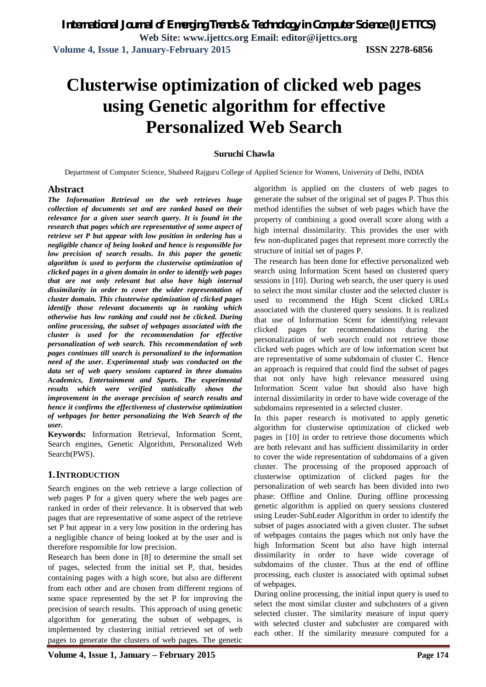# **Clusterwise optimization of clicked web pages using Genetic algorithm for effective Personalized Web Search**

#### **Suruchi Chawla**

Department of Computer Science, Shaheed Rajguru College of Applied Science for Women, University of Delhi, INDIA

#### **Abstract**

*The Information Retrieval on the web retrieves huge collection of documents set and are ranked based on their relevance for a given user search query. It is found in the research that pages which are representative of some aspect of retrieve set P but appear with low position in ordering has a negligible chance of being looked and hence is responsible for low precision of search results. In this paper the genetic algorithm is used to perform the clusterwise optimization of clicked pages in a given domain in order to identify web pages that are not only relevant but also have high internal dissimilarity in order to cover the wider representation of cluster domain. This clusterwise optimization of clicked pages identify those relevant documents up in ranking which otherwise has low ranking and could not be clicked. During online processing, the subset of webpages associated with the cluster is used for the recommendation for effective personalization of web search. This recommendation of web pages continues till search is personalized to the information need of the user. Experimental study was conducted on the data set of web query sessions captured in three domains Academics, Entertainment and Sports. The experimental results which were verified statistically shows the improvement in the average precision of search results and hence it confirms the effectiveness of clusterwise optimization of webpages for better personalizing the Web Search of the user.*

**Keywords:** Information Retrieval, Information Scent, Search engines, Genetic Algorithm, Personalized Web Search(PWS).

#### **1.INTRODUCTION**

Search engines on the web retrieve a large collection of web pages P for a given query where the web pages are ranked in order of their relevance. It is observed that web pages that are representative of some aspect of the retrieve set P but appear in a very low position in the ordering has a negligible chance of being looked at by the user and is therefore responsible for low precision.

Research has been done in [8] to determine the small set of pages, selected from the initial set P, that, besides containing pages with a high score, but also are different from each other and are chosen from different regions of some space represented by the set P for improving the precision of search results. This approach of using genetic algorithm for generating the subset of webpages, is implemented by clustering initial retrieved set of web pages to generate the clusters of web pages. The genetic

algorithm is applied on the clusters of web pages to generate the subset of the original set of pages P. Thus this method identifies the subset of web pages which have the property of combining a good overall score along with a high internal dissimilarity. This provides the user with few non-duplicated pages that represent more correctly the structure of initial set of pages P.

The research has been done for effective personalized web search using Information Scent based on clustered query sessions in [10]. During web search, the user query is used to select the most similar cluster and the selected cluster is used to recommend the High Scent clicked URLs associated with the clustered query sessions. It is realized that use of Information Scent for identifying relevant clicked pages for recommendations during the personalization of web search could not retrieve those clicked web pages which are of low information scent but are representative of some subdomain of cluster C. Hence an approach is required that could find the subset of pages that not only have high relevance measured using Information Scent value but should also have high internal dissimilarity in order to have wide coverage of the subdomains represented in a selected cluster.

In this paper research is motivated to apply genetic algorithm for clusterwise optimization of clicked web pages in [10] in order to retrieve those documents which are both relevant and has sufficient dissimilarity in order to cover the wide representation of subdomains of a given cluster. The processing of the proposed approach of clusterwise optimization of clicked pages for the personalization of web search has been divided into two phase: Offline and Online. During offline processing genetic algorithm is applied on query sessions clustered using Leader-SubLeader Algorithm in order to identify the subset of pages associated with a given cluster. The subset of webpages contains the pages which not only have the high Information Scent but also have high internal dissimilarity in order to have wide coverage of subdomains of the cluster. Thus at the end of offline processing, each cluster is associated with optimal subset of webpages.

During online processing, the initial input query is used to select the most similar cluster and subclusters of a given selected cluster. The similarity measure of input query with selected cluster and subcluster are compared with each other. If the similarity measure computed for a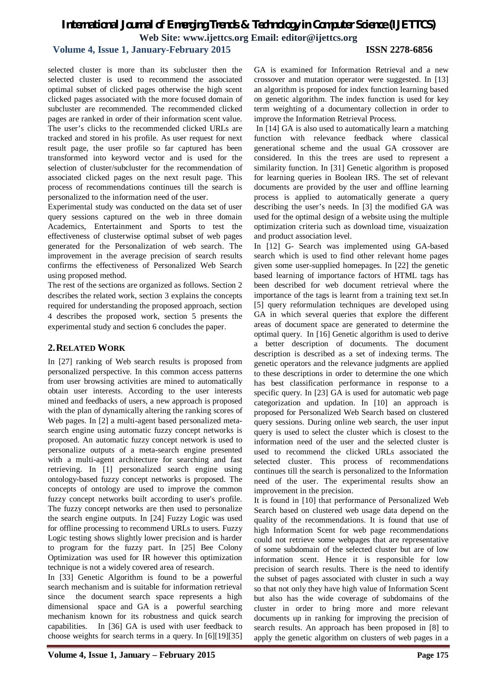#### **Volume 4, Issue 1, January-February 2015 ISSN 2278-6856**

selected cluster is more than its subcluster then the selected cluster is used to recommend the associated optimal subset of clicked pages otherwise the high scent clicked pages associated with the more focused domain of subcluster are recommended. The recommended clicked pages are ranked in order of their information scent value. The user's clicks to the recommended clicked URLs are tracked and stored in his profile. As user request for next result page, the user profile so far captured has been transformed into keyword vector and is used for the selection of cluster/subcluster for the recommendation of associated clicked pages on the next result page. This process of recommendations continues till the search is personalized to the information need of the user.

Experimental study was conducted on the data set of user query sessions captured on the web in three domain Academics, Entertainment and Sports to test the effectiveness of clusterwise optimal subset of web pages generated for the Personalization of web search. The improvement in the average precision of search results confirms the effectiveness of Personalized Web Search using proposed method.

The rest of the sections are organized as follows. Section 2 describes the related work, section 3 explains the concepts required for understanding the proposed approach, section 4 describes the proposed work, section 5 presents the experimental study and section 6 concludes the paper.

### **2.RELATED WORK**

In [27] ranking of Web search results is proposed from personalized perspective. In this common access patterns from user browsing activities are mined to automatically obtain user interests. According to the user interests mined and feedbacks of users, a new approach is proposed with the plan of dynamically altering the ranking scores of Web pages. In [2] a multi-agent based personalized metasearch engine using automatic fuzzy concept networks is proposed. An automatic fuzzy concept network is used to personalize outputs of a meta-search engine presented with a multi-agent architecture for searching and fast retrieving. In [1] personalized search engine using ontology-based fuzzy concept networks is proposed. The concepts of ontology are used to improve the common fuzzy concept networks built according to user's profile. The fuzzy concept networks are then used to personalize the search engine outputs. In [24] Fuzzy Logic was used for offline processing to recommend URLs to users. Fuzzy Logic testing shows slightly lower precision and is harder to program for the fuzzy part. In [25] Bee Colony Optimization was used for IR however this optimization technique is not a widely covered area of research.

In [33] Genetic Algorithm is found to be a powerful search mechanism and is suitable for information retrieval since the document search space represents a high dimensional space and GA is a powerful searching mechanism known for its robustness and quick search capabilities. In [36] GA is used with user feedback to choose weights for search terms in a query. In [6][19][35] GA is examined for Information Retrieval and a new crossover and mutation operator were suggested. In [13] an algorithm is proposed for index function learning based on genetic algorithm. The index function is used for key term weighting of a documentary collection in order to improve the Information Retrieval Process.

In [14] GA is also used to automatically learn a matching function with relevance feedback where classical generational scheme and the usual GA crossover are considered. In this the trees are used to represent a similarity function. In [31] Genetic algorithm is proposed for learning queries in Boolean IRS. The set of relevant documents are provided by the user and offline learning process is applied to automatically generate a query describing the user's needs. In [3] the modified GA was used for the optimal design of a website using the multiple optimization criteria such as download time, visuaization and product association level.

In [12] G- Search was implemented using GA-based search which is used to find other relevant home pages given some user-supplied homepages. In [22] the genetic based learning of importance factors of HTML tags has been described for web document retrieval where the importance of the tags is learnt from a training text set.In [5] query reformulation techniques are developed using GA in which several queries that explore the different areas of document space are generated to determine the optimal query. In [16] Genetic algorithm is used to derive a better description of documents. The document description is described as a set of indexing terms. The genetic operators and the relevance judgments are applied to these descriptions in order to determine the one which has best classification performance in response to a specific query. In [23] GA is used for automatic web page categorization and updation. In [10] an approach is proposed for Personalized Web Search based on clustered query sessions. During online web search, the user input query is used to select the cluster which is closest to the information need of the user and the selected cluster is used to recommend the clicked URLs associated the selected cluster. This process of recommendations continues till the search is personalized to the Information need of the user. The experimental results show an improvement in the precision.

It is found in [10] that performance of Personalized Web Search based on clustered web usage data depend on the quality of the recommendations. It is found that use of high Information Scent for web page recommendations could not retrieve some webpages that are representative of some subdomain of the selected cluster but are of low information scent. Hence it is responsible for low precision of search results. There is the need to identify the subset of pages associated with cluster in such a way so that not only they have high value of Information Scent but also has the wide coverage of subdomains of the cluster in order to bring more and more relevant documents up in ranking for improving the precision of search results. An approach has been proposed in [8] to apply the genetic algorithm on clusters of web pages in a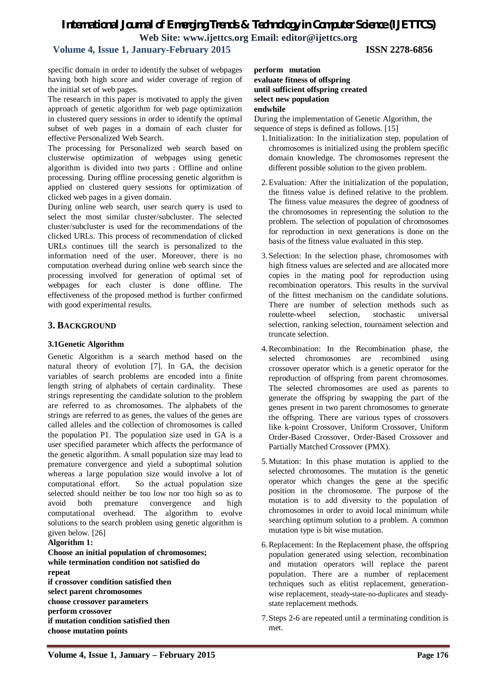### **Volume 4, Issue 1, January-February 2015 ISSN 2278-6856**

specific domain in order to identify the subset of webpages having both high score and wider coverage of region of the initial set of web pages.

The research in this paper is motivated to apply the given approach of genetic algorithm for web page optimization in clustered query sessions in order to identify the optimal subset of web pages in a domain of each cluster for effective Personalized Web Search.

The processing for Personalized web search based on clusterwise optimization of webpages using genetic algorithm is divided into two parts : Offline and online processing. During offline processing genetic algorithm is applied on clustered query sessions for optimization of clicked web pages in a given domain.

During online web search, user search query is used to select the most similar cluster/subcluster. The selected cluster/subcluster is used for the recommendations of the clicked URLs. This process of recommendation of clicked URLs continues till the search is personalized to the information need of the user. Moreover, there is no computation overhead during online web search since the processing involved for generation of optimal set of webpages for each cluster is done offline. The effectiveness of the proposed method is further confirmed with good experimental results.

#### **3. BACKGROUND**

#### **3.1Genetic Algorithm**

Genetic Algorithm is a search method based on the natural theory of evolution [7]. In GA, the decision variables of search problems are encoded into a finite length string of alphabets of certain cardinality. These strings representing the candidate solution to the problem are referred to as chromosomes. The alphabets of the strings are referred to as genes, the values of the genes are called alleles and the collection of chromosomes is called the population P1. The population size used in GA is a user specified parameter which affects the performance of the genetic algorithm. A small population size may lead to premature convergence and yield a suboptimal solution whereas a large population size would involve a lot of computational effort. So the actual population size selected should neither be too low nor too high so as to avoid both premature convergence and high computational overhead. The algorithm to evolve solutions to the search problem using genetic algorithm is given below. [26]

#### **Algorithm 1:**

**Choose an initial population of chromosomes; while termination condition not satisfied do repeat if crossover condition satisfied then select parent chromosomes choose crossover parameters perform crossover if mutation condition satisfied then choose mutation points**

#### **perform mutation evaluate fitness of offspring until sufficient offspring created select new population endwhile**

During the implementation of Genetic Algorithm, the sequence of steps is defined as follows. [15]

- 1.Initialization: In the initialization step, population of chromosomes is initialized using the problem specific domain knowledge. The chromosomes represent the different possible solution to the given problem.
- 2.Evaluation: After the initialization of the population, the fitness value is defined relative to the problem. The fitness value measures the degree of goodness of the chromosomes in representing the solution to the problem. The selection of population of chromosomes for reproduction in next generations is done on the basis of the fitness value evaluated in this step.
- 3.Selection: In the selection phase, chromosomes with high fitness values are selected and are allocated more copies in the mating pool for reproduction using recombination operators. This results in the survival of the fittest mechanism on the candidate solutions. There are number of selection methods such as roulette-wheel selection, stochastic universal selection, ranking selection, tournament selection and truncate selection.
- 4.Recombination: In the Recombination phase, the selected chromosomes are recombined using crossover operator which is a genetic operator for the reproduction of offspring from parent chromosomes. The selected chromosomes are used as parents to generate the offspring by swapping the part of the genes present in two parent chromosomes to generate the offspring. There are various types of crossovers like k-point Crossover, Uniform Crossover, Uniform Order-Based Crossover, Order-Based Crossover and Partially Matched Crossover (PMX).
- 5.Mutation: In this phase mutation is applied to the selected chromosomes. The mutation is the genetic operator which changes the gene at the specific position in the chromosome. The purpose of the mutation is to add diversity to the population of chromosomes in order to avoid local minimum while searching optimum solution to a problem. A common mutation type is bit wise mutation.
- 6.Replacement: In the Replacement phase, the offspring population generated using selection, recombination and mutation operators will replace the parent population. There are a number of replacement techniques such as elitist replacement, generationwise replacement, steady-state-no-duplicates and steadystate replacement methods.
- 7.Steps 2-6 are repeated until a terminating condition is met.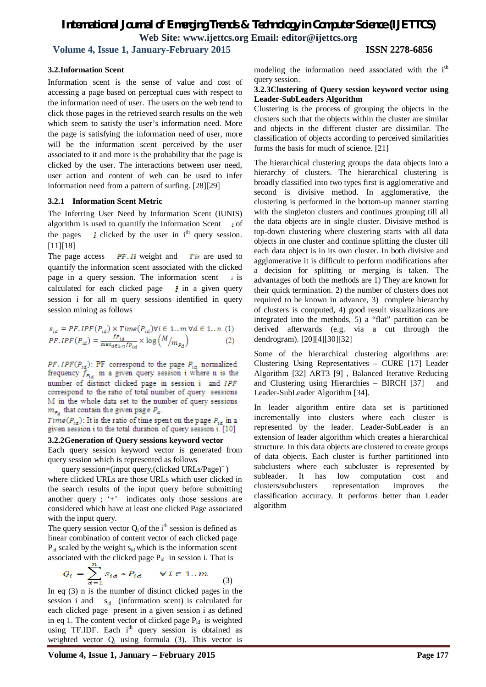**Volume 4, Issue 1, January-February 2015 ISSN 2278-6856**

#### **3.2.Information Scent**

Information scent is the sense of value and cost of accessing a page based on perceptual cues with respect to the information need of user. The users on the web tend to click those pages in the retrieved search results on the web which seem to satisfy the user's information need. More the page is satisfying the information need of user, more will be the information scent perceived by the user associated to it and more is the probability that the page is clicked by the user. The interactions between user need, user action and content of web can be used to infer information need from a pattern of surfing. [28][29]

#### **3.2.1 Information Scent Metric**

The Inferring User Need by Information Scent (IUNIS) algorithm is used to quantify the Information Scent  $\,\cdot\,$  of the pages  $\parallel$  clicked by the user in i<sup>th</sup> query session. [11][18]

The page access **PF. II** weight and **T** is are used to quantify the information scent associated with the clicked page in a query session. The information scent  $\cdot$  is calculated for each clicked page  $\downarrow$  in a given query session i for all m query sessions identified in query session mining as follows

$$
s_{id} = PF_{d}Pr(P_{id}) \times Time(P_{id}) \forall i \in 1...m \forall d \in 1...n \quad (1)
$$
\n
$$
PF_{d}Pr(P_{id}) = \frac{f_{id}}{\max_{d \in L \cap P_{id}} \times \log(M/m_{P_{d}})} \tag{2}
$$

 $PF, IPF(P_{id})$ : PF correspond to the page  $P_{id}$  normalized frequency  $f_{F_{1d}}$  in a given query session i where n is the number of distinct clicked page in session i and IPF correspond to the ratio of total number of query sessions M in the whole data set to the number of query sessions  $m_{P_d}$  that contain the given page  $P_d$ .

 $Time(P_{id})$ : It is the ratio of time spent on the page  $P_{id}$  in a given session i to the total duration of query session i. [10]

#### **3.2.2Generation of Query sessions keyword vector**

Each query session keyword vector is generated from query session which is represented as follows

query session=(input query,(clicked URLs/Page)<sup>+</sup>) where clicked URLs are those URLs which user clicked in the search results of the input query before submitting another query ; '+' indicates only those sessions are considered which have at least one clicked Page associated with the input query.

The query session vector  $Q_i$  of the i<sup>th</sup> session is defined as linear combination of content vector of each clicked page  $P_{id}$  scaled by the weight  $s_{id}$  which is the information scent associated with the clicked page  $P_{id}$  in session i. That is

$$
Q_i = \sum_{d=1}^n s_{id} * P_{id} \qquad \forall i \in 1..m \tag{3}
$$

In eq (3) n is the number of distinct clicked pages in the session i and  $s_{id}$  (information scent) is calculated for each clicked page present in a given session i as defined in eq 1. The content vector of clicked page  $P_{id}$  is weighted using TF.IDF. Each i<sup>th</sup> query session is obtained as weighted vector  $Q_i$  using formula (3). This vector is modeling the information need associated with the i<sup>th</sup> query session.

#### **3.2.3Clustering of Query session keyword vector using Leader-SubLeaders Algorithm**

Clustering is the process of grouping the objects in the clusters such that the objects within the cluster are similar and objects in the different cluster are dissimilar. The classification of objects according to perceived similarities forms the basis for much of science. [21]

The hierarchical clustering groups the data objects into a hierarchy of clusters. The hierarchical clustering is broadly classified into two types first is agglomerative and second is divisive method. In agglomerative, the clustering is performed in the bottom-up manner starting with the singleton clusters and continues grouping till all the data objects are in single cluster. Divisive method is top-down clustering where clustering starts with all data objects in one cluster and continue splitting the cluster till each data object is in its own cluster. In both divisive and agglomerative it is difficult to perform modifications after a decision for splitting or merging is taken. The advantages of both the methods are 1) They are known for their quick termination. 2) the number of clusters does not required to be known in advance, 3) complete hierarchy of clusters is computed, 4) good result visualizations are integrated into the methods, 5) a "flat" partition can be derived afterwards (e.g. via a cut through the dendrogram). [20][4][30][32]

Some of the hierarchical clustering algorithms are: Clustering Using Representatives – CURE [17] Leader Algorithm [32] ART3 [9] , Balanced Iterative Reducing and Clustering using Hierarchies – BIRCH [37] and Leader-SubLeader Algorithm [34].

In leader algorithm entire data set is partitioned incrementally into clusters where each cluster is represented by the leader. Leader-SubLeader is an extension of leader algorithm which creates a hierarchical structure. In this data objects are clustered to create groups of data objects. Each cluster is further partitioned into subclusters where each subcluster is represented by subleader. It has low computation cost and clusters/subclusters representation improves the classification accuracy. It performs better than Leader algorithm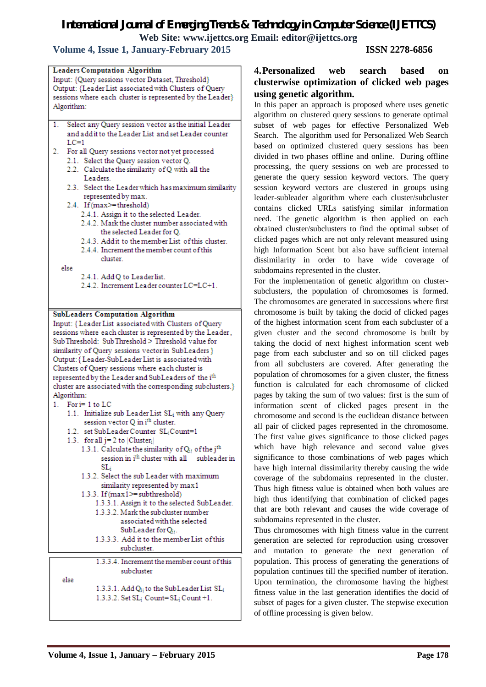# *International Journal of Emerging Trends & Technology in Computer Science (IJETTCS)*

**Web Site: www.ijettcs.org Email: editor@ijettcs.org** 

 **Volume 4, Issue 1, January-February 2015 ISSN 2278-6856**

|                                                           | <b>Leaders Computation Algorithm</b>                                                                                 |  |  |
|-----------------------------------------------------------|----------------------------------------------------------------------------------------------------------------------|--|--|
|                                                           | Input: {Query sessions vector Dataset, Threshold}                                                                    |  |  |
|                                                           | Output: {Leader List associated with Clusters of Query                                                               |  |  |
| sessions where each cluster is represented by the Leader} |                                                                                                                      |  |  |
| Algorithm:                                                |                                                                                                                      |  |  |
|                                                           |                                                                                                                      |  |  |
| 1.                                                        | Select any Query session vector as the initial Leader                                                                |  |  |
|                                                           | and add it to the Leader List and set Leader counter                                                                 |  |  |
| $_{\text{LC=1}}$                                          |                                                                                                                      |  |  |
| 2.                                                        | For all Query sessions vector not yet processed                                                                      |  |  |
|                                                           | 2.1. Select the Query session vector Q.                                                                              |  |  |
|                                                           | 2.2. Calculate the similarity of Q with all the                                                                      |  |  |
| Leaders.                                                  |                                                                                                                      |  |  |
|                                                           | 2.3. Select the Leader which has maximum similarity                                                                  |  |  |
|                                                           | represented by max.                                                                                                  |  |  |
|                                                           | 2.4. If (max>=threshold)                                                                                             |  |  |
|                                                           | 2.4.1. Assign it to the selected Leader.                                                                             |  |  |
|                                                           | 2.4.2. Mark the cluster number associated with                                                                       |  |  |
|                                                           | the selected Leader for Q.                                                                                           |  |  |
|                                                           | 2.4.3. Addit to the member List of this cluster.                                                                     |  |  |
|                                                           | 2.4.4. Increment the member count of this                                                                            |  |  |
|                                                           | cluster                                                                                                              |  |  |
| else                                                      |                                                                                                                      |  |  |
|                                                           | 2.4.1. Add Q to Leaderlist.                                                                                          |  |  |
|                                                           | 2.4.2. Increment Leader counter LC=LC+1.                                                                             |  |  |
|                                                           |                                                                                                                      |  |  |
|                                                           |                                                                                                                      |  |  |
|                                                           | <b>SubLeaders Computation Algorithm</b>                                                                              |  |  |
|                                                           | Input: { Leader List associated with Clusters of Query                                                               |  |  |
|                                                           | sessions where each cluster is represented by the Leader,                                                            |  |  |
|                                                           | Sub Threshold: Sub Threshold > Threshold value for                                                                   |  |  |
|                                                           | similarity of Query sessions vector in SubLeaders }                                                                  |  |  |
| Output: { Leader-SubLeader List is associated with        |                                                                                                                      |  |  |
|                                                           |                                                                                                                      |  |  |
|                                                           | Clusters of Query sessions where each cluster is                                                                     |  |  |
|                                                           | represented by the Leader and SubLeaders of the i <sup>th</sup>                                                      |  |  |
|                                                           | cluster are associated with the corresponding subclusters.}                                                          |  |  |
| Algorithm:                                                |                                                                                                                      |  |  |
| 1. For i= 1 to LC                                         |                                                                                                                      |  |  |
|                                                           | 1.1. Initialize sub Leader List SL; with any Query                                                                   |  |  |
|                                                           | session vector Q in i <sup>th</sup> cluster.                                                                         |  |  |
|                                                           | 1.2. set SubLeader Counter SL <sub>i</sub> Count=1                                                                   |  |  |
|                                                           | 1.3. for all $j = 2$ to $ Cluster_j $                                                                                |  |  |
|                                                           | 1.3.1. Calculate the similarity of $Q_{ii}$ of the j <sup>th</sup>                                                   |  |  |
|                                                           | session in i <sup>th</sup> cluster with all subleader in                                                             |  |  |
|                                                           | SL:                                                                                                                  |  |  |
|                                                           | 1.3.2. Select the sub Leader with maximum                                                                            |  |  |
|                                                           | similarity represented by max1                                                                                       |  |  |
|                                                           | 1.3.3. If $(max1>=subthreshold)$                                                                                     |  |  |
|                                                           | 1.3.3.1. Assign it to the selected SubLeader.                                                                        |  |  |
|                                                           | 1.3.3.2. Mark the subcluster number                                                                                  |  |  |
|                                                           | associated with the selected                                                                                         |  |  |
|                                                           | $SubLeader for Q_{ii}.$                                                                                              |  |  |
|                                                           | 1.3.3.3. Add it to the member List of this                                                                           |  |  |
|                                                           | subcluster.                                                                                                          |  |  |
|                                                           |                                                                                                                      |  |  |
|                                                           | 1.3.3.4. Increment the member count of this                                                                          |  |  |
|                                                           | subcluster                                                                                                           |  |  |
| else                                                      |                                                                                                                      |  |  |
|                                                           | 1.3.3.1. Add Q <sub>ij</sub> to the SubLeader List SL <sub>i</sub><br>$1.3.3.2$ . Set $SL_i$ Count= $SL_i$ Count +1. |  |  |

# **4.Personalized web search based on clusterwise optimization of clicked web pages using genetic algorithm.**

In this paper an approach is proposed where uses genetic algorithm on clustered query sessions to generate optimal subset of web pages for effective Personalized Web Search. The algorithm used for Personalized Web Search based on optimized clustered query sessions has been divided in two phases offline and online. During offline processing, the query sessions on web are processed to generate the query session keyword vectors. The query session keyword vectors are clustered in groups using leader-subleader algorithm where each cluster/subcluster contains clicked URLs satisfying similar information need. The genetic algorithm is then applied on each obtained cluster/subclusters to find the optimal subset of clicked pages which are not only relevant measured using high Information Scent but also have sufficient internal dissimilarity in order to have wide coverage of subdomains represented in the cluster.

For the implementation of genetic algorithm on clustersubclusters, the population of chromosomes is formed. The chromosomes are generated in successions where first chromosome is built by taking the docid of clicked pages of the highest information scent from each subcluster of a given cluster and the second chromosome is built by taking the docid of next highest information scent web page from each subcluster and so on till clicked pages from all subclusters are covered. After generating the population of chromosomes for a given cluster, the fitness function is calculated for each chromosome of clicked pages by taking the sum of two values: first is the sum of information scent of clicked pages present in the chromosome and second is the euclidean distance between all pair of clicked pages represented in the chromosome. The first value gives significance to those clicked pages which have high relevance and second value gives significance to those combinations of web pages which have high internal dissimilarity thereby causing the wide coverage of the subdomains represented in the cluster. Thus high fitness value is obtained when both values are high thus identifying that combination of clicked pages that are both relevant and causes the wide coverage of subdomains represented in the cluster.

Thus chromosomes with high fitness value in the current generation are selected for reproduction using crossover and mutation to generate the next generation of population. This process of generating the generations of population continues till the specified number of iteration. Upon termination, the chromosome having the highest fitness value in the last generation identifies the docid of subset of pages for a given cluster. The stepwise execution of offline processing is given below.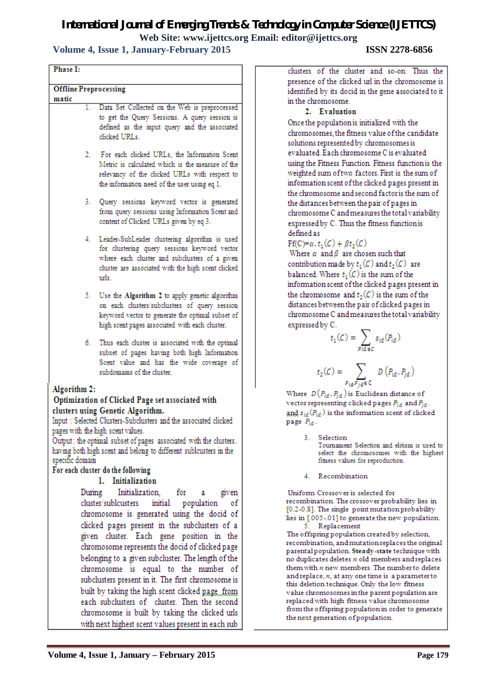# **Volume 4, Issue 1, January-February 2015 ISSN 2278-6856**

| Phase I:                                                                                                                                                                                                                                                                                                                                                                                                         |
|------------------------------------------------------------------------------------------------------------------------------------------------------------------------------------------------------------------------------------------------------------------------------------------------------------------------------------------------------------------------------------------------------------------|
| <b>Offline Preprocessing</b><br>matic                                                                                                                                                                                                                                                                                                                                                                            |
| Data Set Collected on the Web is preprocessed<br>1.<br>to get the Query Sessions. A query session is<br>defined as the input query and the associated<br>clicked URLs.                                                                                                                                                                                                                                           |
| For each clicked URLs, the Information Scent<br>2.<br>Metric is calculated which is the measure of the<br>relevancy of the clicked URLs with respect to<br>the information need of the user using eq 1.                                                                                                                                                                                                          |
| 3. Query sessions keyword vector is generated<br>from query sessions using Information Scent and<br>content of Clicked URLs given by eq 3.                                                                                                                                                                                                                                                                       |
| Leader-SubLeader clustering algorithm is used<br>4.<br>for clustering query sessions keyword vector<br>where each cluster and subclusters of a given<br>cluster are associated with the high scent clicked<br>urls.                                                                                                                                                                                              |
| 5. Use the Algorithm 2 to apply genetic algorithm<br>on each clusters/subclusters of query session<br>keyword vector to generate the optimal subset of<br>high scent pages associated with each cluster.                                                                                                                                                                                                         |
| 6.<br>Thus each cluster is associated with the optimal<br>subset of pages having both high Information<br>Scent value and has the wide coverage of<br>subdomains of the cluster.                                                                                                                                                                                                                                 |
| Algorithm 2:<br>Optimization of Clicked Page set associated with<br>clusters using Genetic Algorithm.<br>Input : Selected Clusters-Subclusters and the associated clicked<br>pages with the high scent values.<br>Output: the optimal subset of pages associated with the clusters.<br>having both high scent and belong to different sublcusters in the<br>specific domain<br>For each cluster do the following |
| 1. Initialization                                                                                                                                                                                                                                                                                                                                                                                                |
| Initialization,<br>During<br>for<br>given<br>a<br>cluster/sublcusters<br>initial<br>population<br>٥f<br>chromosome is generated using the docid of                                                                                                                                                                                                                                                               |
| clicked pages present in the subclusters of a<br>given cluster. Each gene position in the<br>chromosome represents the docid of clicked page<br>belonging to a given subcluster. The length of the                                                                                                                                                                                                               |
| chromosome is equal to the number of<br>subclusters present in it. The first chromosome is<br>built by taking the high scent clicked pagefrom                                                                                                                                                                                                                                                                    |
| each subclusters of cluster. Then the second<br>chromosome is built by taking the clicked urls                                                                                                                                                                                                                                                                                                                   |

clusters of the cluster and so-on. Thus the presence of the clicked url in the chromosome is identified by its docid in the gene associated to it in the chromosome.

#### 2. Evaluation

Once the population is initialized with the chromosomes, the fitness value of the candidate solutions represented by chromosomes is evaluated. Each chromosome C is evaluated using the Fitness Function. Fitness function is the weighted sum of two factors. First is the sum of information scent of the clicked pages present in the chromosome and second factor is the sum of the distances between the pair of pages in chromosome C and measures the total variability expressed by C. Thus the fitness function is defined as

 $\mathrm{Ff}(C) = \alpha \cdot t_1(C) + \beta t_2(C)$ 

t

3.

Where  $\alpha$  and  $\beta$  are chosen such that contribution made by  $t_1(C)$  and  $t_2(C)$  are balanced. Where  $t_1(C)$  is the sum of the information scent of the clicked pages present in the chromosome and  $t_2(C)$  is the sum of the distances between the pair of clicked pages in chromosome C and measures the total variability expressed by C.

$$
t_1(C) = \sum_{P \text{ id} \in C} s_{id}(P_{id})
$$
  

$$
t_2(C) = \sum_{Q \in C} D(P_{id}, P_{id})
$$

Where  $D(P_{id}, P_{id})$  is Euclidean distance of vector representing clicked pages  $P_{id}$  and  $P_{id}$ . and  $s_{id}(P_{id})$  is the information scent of clicked page  $P_{id}$ .

 $P_{id}P_{id} \in \mathbb{C}$ 

**Selection** Tournament Selection and elitism is used to select the chromosomes with the highest fitness values for reproduction.

4. Recombination

Uniform Crossover is selected for recombination. The crossover probability lies in [0.2-0.8]. The single point mutation probability lies in [.005-.01] to generate the new population. 5. Replacement

The offspring population created by selection, recombination, and mutation replaces the original parental population. Steady-state technique with no duplicates deletes n old members and replaces them with n new members. The number to delete and replace,  $n$ , at any one time is a parameter to this deletion technique. Only the low fitness value chromosomes in the parent population are replaced with high fitness value chromosome from the offspring population in order to generate the next generation of population.

with next highest scent values present in each sub-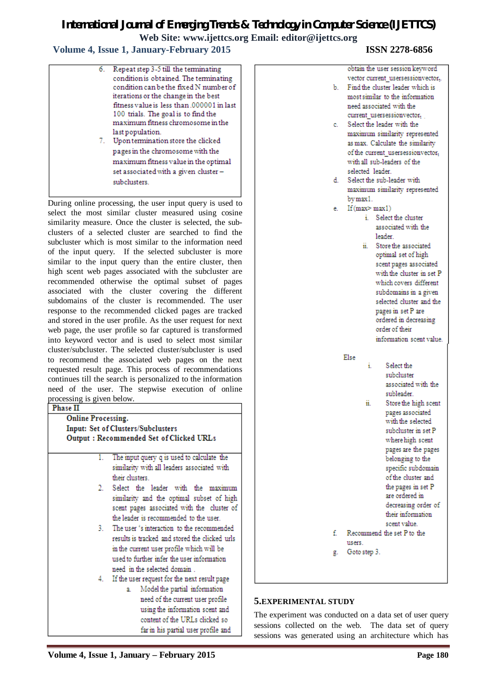### **Volume 4, Issue 1, January-February 2015 ISSN 2278-6856**

|    | 6. Repeat step 3-5 till the terminating   |
|----|-------------------------------------------|
|    | condition is obtained. The terminating    |
|    | condition can be the fixed N number of    |
|    | iterations or the change in the best      |
|    | fitness value is less than 000001 in last |
|    | 100 trials. The goal is to find the       |
|    | maximum fitness chromosome in the         |
|    | last population.                          |
| 7. | Upon termination store the clicked        |
|    | pages in the chromosome with the          |
|    |                                           |

maximum fitness value in the optimal set associated with a given clustersubclusters.

During online processing, the user input query is used to select the most similar cluster measured using cosine similarity measure. Once the cluster is selected, the subclusters of a selected cluster are searched to find the subcluster which is most similar to the information need of the input query. If the selected subcluster is more similar to the input query than the entire cluster, then high scent web pages associated with the subcluster are recommended otherwise the optimal subset of pages associated with the cluster covering the different subdomains of the cluster is recommended. The user response to the recommended clicked pages are tracked and stored in the user profile. As the user request for next web page, the user profile so far captured is transformed into keyword vector and is used to select most similar cluster/subcluster. The selected cluster/subcluster is used to recommend the associated web pages on the next requested result page. This process of recommendations continues till the search is personalized to the information need of the user. The stepwise execution of online processing is given below.<br>**Phase II** 

#### **Online Processing. Input: Set of Clusters/Subclusters** Output: Recommended Set of Clicked URLs

- The input query q is used to calculate the 1. similarity with all leaders associated with their clusters.
- 2. Select the leader with the maximum similarity and the optimal subset of high scent pages associated with the cluster of the leader is recommended to the user.
- 3. The user 's interaction to the recommended results is tracked and stored the clicked urls in the current user profile which will be used to further infer the user information need in the selected domain.
- 4. If the user request for the next result page
	- a. Model the partial information need of the current user profile using the information scent and content of the URLs clicked so far in his partial user profile and

|      | obtain the user session keyword         |
|------|-----------------------------------------|
|      | vector current_usersessionvector,.      |
| b.   | Find the cluster leader which is        |
|      | most similar to the information         |
|      | need associated with the                |
|      | current usersessionvector,              |
| c.   | Select the leader with the              |
|      | maximum similarity represented          |
|      | as max. Calculate the similarity        |
|      | of the current usersessionvector,       |
|      | with all sub-leaders of the             |
|      | selected leader.                        |
| d. I | Select the sub-leader with              |
|      | maximum similarity represented          |
|      | by max 1.                               |
| е.   | If(max > max1)                          |
|      | i. Select the cluster                   |
|      | associated with the                     |
|      | leader.                                 |
|      | Store the associated<br>ii. -           |
|      | optimal set of high                     |
|      | scent pages associated                  |
|      | with the cluster in set P               |
|      | which covers different                  |
|      | subdomains in a given                   |
|      | selected cluster and the                |
|      |                                         |
|      | pages in set P are                      |
|      | ordered in decreasing<br>order of their |
|      |                                         |
|      | information scent value.                |
|      |                                         |
|      | Else<br>Select the<br>i.                |
|      | subcluster                              |
|      | associated with the                     |
|      |                                         |
|      | subleader.                              |
|      | Store the high scent<br>ii.             |
|      | pages associated<br>with the selected   |
|      |                                         |
|      | subcluster in set P                     |
|      | where high scent                        |
|      | pages are the pages                     |
|      | belonging to the                        |
|      | specific subdomain                      |
|      | of the cluster and                      |
|      | the pages in set P                      |
|      | are ordered in                          |
|      | decreasing order of                     |
|      | their information                       |
|      | scent value.                            |
| f.   | Recommend the set P to the              |
|      | users.                                  |
| g.   | Goto step 3.                            |
|      |                                         |
|      |                                         |

### **5.EXPERIMENTAL STUDY**

The experiment was conducted on a data set of user query sessions collected on the web. The data set of query sessions was generated using an architecture which has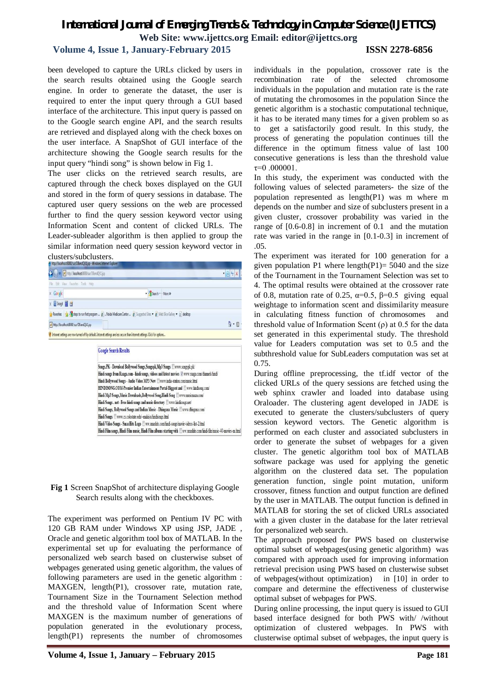### **Volume 4, Issue 1, January-February 2015 ISSN 2278-6856**

been developed to capture the URLs clicked by users in the search results obtained using the Google search engine. In order to generate the dataset, the user is required to enter the input query through a GUI based interface of the architecture. This input query is passed on to the Google search engine API, and the search results are retrieved and displayed along with the check boxes on the user interface. A SnapShot of GUI interface of the architecture showing the Google search results for the input query "hindi song" is shown below in Fig 1.

The user clicks on the retrieved search results, are captured through the check boxes displayed on the GUI and stored in the form of query sessions in database. The captured user query sessions on the web are processed further to find the query session keyword vector using Information Scent and content of clicked URLs. The Leader-subleader algorithm is then applied to group the similar information need query session keyword vector in clusters/subclusters.

|                                           | e http://localhost.auau/sur/DaandQV1.jsp - Windows Internet Explorer                                                            |                |
|-------------------------------------------|---------------------------------------------------------------------------------------------------------------------------------|----------------|
| Relation //localhost3080/sur/DBandQV1.jsp |                                                                                                                                 | $-84$          |
| Edit View Favorites Tools Help            |                                                                                                                                 |                |
| x Google                                  | V More >>                                                                                                                       |                |
| x Snagit E                                |                                                                                                                                 |                |
|                                           | Favorites & steps to run first program  (2)  Noida Medicare Center  (2) Suggested Sites . (3) Web Slice Gallery . (3) desktop   |                |
| http://localhost:8080/sur/DBandQV1.isp    |                                                                                                                                 | G<br>$\cdot$ 5 |
|                                           | if Intranet settings are now turned off by default. Intranet settings are less secure than Internet settings. Click for options |                |
|                                           | <b>Google Search Results</b>                                                                                                    |                |
|                                           |                                                                                                                                 |                |
|                                           | Songs.PK - Download Bollywood Songs, Songspk, Mp3 Songs Www.songspk.pk/                                                         |                |
|                                           | Hindi songs from Raaga.com - hindi songs, videos and latest movies V www.raaga.com/channels/hindi/                              |                |
|                                           | Hindi Bollywood Songs - Audio Video MP3 New Www.india-station.com/music.html                                                    |                |

| Hindi Bollywood Songs - Audio Video MP3 New Www.india-station.com/music.html                                              |
|---------------------------------------------------------------------------------------------------------------------------|
| HINDISONG.COM-Premier Indian Entertainment Portal-Biggest and Www.hindisong.com/                                          |
| Hindi Mp3 Songs, Music Downloads, Bollywood Song, Hindi Song Www.musicmaza.com/                                           |
| Hindi Songs . net - Free hindi songs and music directory www.hindisongs.net                                               |
| Hindi Songs, Bollywood Songs and Indian Music - Dhingana Music Nwww.chingana.com                                          |
| Hindi Songs Www.cs.colostate.edu/~malaiva hindisongs.html                                                                 |
| Hindi Video Songs - SmasHits Logo Www.smashits.com/hindi-songs/movie-videos-list-2.html                                   |
| Hindi Film conge Hindi Film mucic. Hindi Film albume etarting with Films: considée combindi film/wasic(1) massics, an bin |

**Fig 1** Screen SnapShot of architecture displaying Google Search results along with the checkboxes.

The experiment was performed on Pentium IV PC with 120 GB RAM under Windows XP using JSP, JADE , Oracle and genetic algorithm tool box of MATLAB. In the experimental set up for evaluating the performance of personalized web search based on clusterwise subset of webpages generated using genetic algorithm, the values of following parameters are used in the genetic algorithm : MAXGEN, length(P1), crossover rate, mutation rate, Tournament Size in the Tournament Selection method and the threshold value of Information Scent where MAXGEN is the maximum number of generations of population generated in the evolutionary process, length(P1) represents the number of chromosomes

individuals in the population, crossover rate is the recombination rate of the selected chromosome individuals in the population and mutation rate is the rate of mutating the chromosomes in the population Since the genetic algorithm is a stochastic computational technique, it has to be iterated many times for a given problem so as to get a satisfactorily good result. In this study, the process of generating the population continues till the difference in the optimum fitness value of last 100 consecutive generations is less than the threshold value  $\tau=0.000001$ .

In this study, the experiment was conducted with the following values of selected parameters- the size of the population represented as length(P1) was m where m depends on the number and size of subclusters present in a given cluster, crossover probability was varied in the range of [0.6-0.8] in increment of 0.1 and the mutation rate was varied in the range in [0.1-0.3] in increment of .05.

The experiment was iterated for 100 generation for a given population P1 where length $(P1)= 5040$  and the size of the Tournament in the Tournament Selection was set to 4. The optimal results were obtained at the crossover rate of 0.8, mutation rate of 0.25,  $\alpha=0.5$ ,  $\beta=0.5$  giving equal weightage to information scent and dissimilarity measure in calculating fitness function of chromosomes and threshold value of Information Scent  $(\rho)$  at 0.5 for the data set generated in this experimental study. The threshold value for Leaders computation was set to 0.5 and the subthreshold value for SubLeaders computation was set at 0.75.

During offline preprocessing, the tf.idf vector of the clicked URLs of the query sessions are fetched using the web sphinx crawler and loaded into database using Oraloader. The clustering agent developed in JADE is executed to generate the clusters/subclusters of query session keyword vectors. The Genetic algorithm is performed on each cluster and associated subclusters in order to generate the subset of webpages for a given cluster. The genetic algorithm tool box of MATLAB software package was used for applying the genetic algorithm on the clustered data set. The population generation function, single point mutation, uniform crossover, fitness function and output function are defined by the user in MATLAB. The output function is defined in MATLAB for storing the set of clicked URLs associated with a given cluster in the database for the later retrieval for personalized web search.

The approach proposed for PWS based on clusterwise optimal subset of webpages(using genetic algorithm) was compared with approach used for improving information retrieval precision using PWS based on clusterwise subset of webpages(without optimization) in [10] in order to compare and determine the effectiveness of clusterwise optimal subset of webpages for PWS.

During online processing, the input query is issued to GUI based interface designed for both PWS with/ /without optimization of clustered webpages. In PWS with clusterwise optimal subset of webpages, the input query is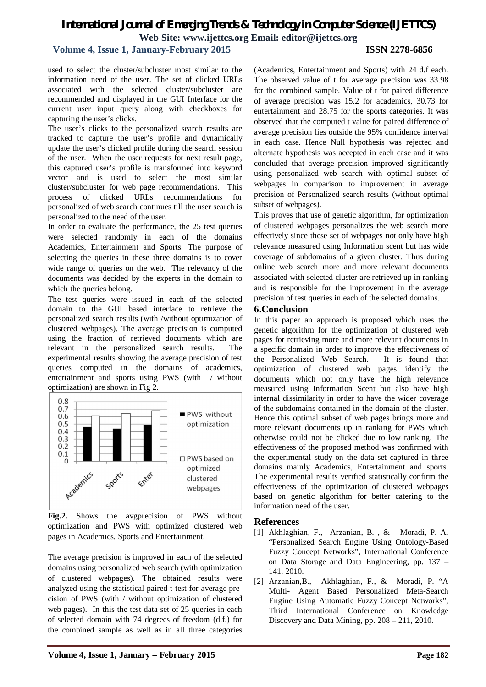#### **Volume 4, Issue 1, January-February 2015 ISSN 2278-6856**

used to select the cluster/subcluster most similar to the information need of the user. The set of clicked URLs associated with the selected cluster/subcluster are recommended and displayed in the GUI Interface for the current user input query along with checkboxes for capturing the user's clicks.

The user's clicks to the personalized search results are tracked to capture the user's profile and dynamically update the user's clicked profile during the search session of the user. When the user requests for next result page, this captured user's profile is transformed into keyword vector and is used to select the most similar cluster/subcluster for web page recommendations. This process of clicked URLs recommendations for personalized of web search continues till the user search is personalized to the need of the user.

In order to evaluate the performance, the 25 test queries were selected randomly in each of the domains Academics, Entertainment and Sports. The purpose of selecting the queries in these three domains is to cover wide range of queries on the web. The relevancy of the documents was decided by the experts in the domain to which the queries belong.

The test queries were issued in each of the selected domain to the GUI based interface to retrieve the personalized search results (with /without optimization of clustered webpages). The average precision is computed using the fraction of retrieved documents which are relevant in the personalized search results. The experimental results showing the average precision of test queries computed in the domains of academics, entertainment and sports using PWS (with / without optimization) are shown in Fig 2.



**Fig.2.** Shows the avgprecision of PWS without optimization and PWS with optimized clustered web pages in Academics, Sports and Entertainment.

The average precision is improved in each of the selected domains using personalized web search (with optimization of clustered webpages). The obtained results were analyzed using the statistical paired t-test for average precision of PWS (with / without optimization of clustered web pages). In this the test data set of 25 queries in each of selected domain with 74 degrees of freedom (d.f.) for the combined sample as well as in all three categories

(Academics, Entertainment and Sports) with 24 d.f each. The observed value of t for average precision was 33.98 for the combined sample. Value of t for paired difference of average precision was 15.2 for academics, 30.73 for entertainment and 28.75 for the sports categories. It was observed that the computed t value for paired difference of average precision lies outside the 95% confidence interval in each case. Hence Null hypothesis was rejected and alternate hypothesis was accepted in each case and it was concluded that average precision improved significantly using personalized web search with optimal subset of webpages in comparison to improvement in average precision of Personalized search results (without optimal subset of webpages).

This proves that use of genetic algorithm, for optimization of clustered webpages personalizes the web search more effectively since these set of webpages not only have high relevance measured using Information scent but has wide coverage of subdomains of a given cluster. Thus during online web search more and more relevant documents associated with selected cluster are retrieved up in ranking and is responsible for the improvement in the average precision of test queries in each of the selected domains.

#### **6.Conclusion**

In this paper an approach is proposed which uses the genetic algorithm for the optimization of clustered web pages for retrieving more and more relevant documents in a specific domain in order to improve the effectiveness of the Personalized Web Search. It is found that optimization of clustered web pages identify the documents which not only have the high relevance measured using Information Scent but also have high internal dissimilarity in order to have the wider coverage of the subdomains contained in the domain of the cluster. Hence this optimal subset of web pages brings more and more relevant documents up in ranking for PWS which otherwise could not be clicked due to low ranking. The effectiveness of the proposed method was confirmed with the experimental study on the data set captured in three domains mainly Academics, Entertainment and sports. The experimental results verified statistically confirm the effectiveness of the optimization of clustered webpages based on genetic algorithm for better catering to the information need of the user.

#### **References**

- [1] Akhlaghian, F., Arzanian, B. , & Moradi, P. A. "Personalized Search Engine Using Ontology-Based Fuzzy Concept Networks", International Conference on Data Storage and Data Engineering, pp. 137 – 141, 2010.
- [2] Arzanian,B., Akhlaghian, F., & Moradi, P. "A Multi- Agent Based Personalized Meta-Search Engine Using Automatic Fuzzy Concept Networks", Third International Conference on Knowledge Discovery and Data Mining, pp. 208 – 211, 2010.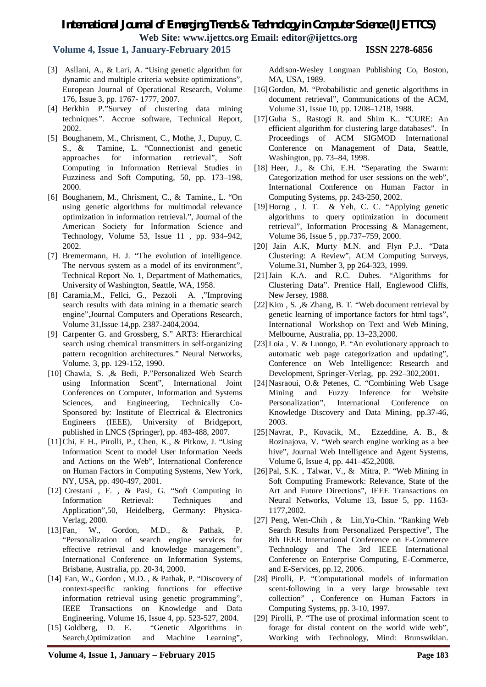### **Volume 4, Issue 1, January-February 2015 ISSN 2278-6856**

- [3] Asllani, A., & Lari, A. "Using genetic algorithm for dynamic and multiple criteria website optimizations", European Journal of Operational Research, Volume 176, Issue 3, pp. 1767- 1777, 2007.
- [4] Berkhin P."Survey of clustering data mining techniques*"*. Accrue software, Technical Report, 2002.
- [5] Boughanem, M., Chrisment, C., Mothe, J., Dupuy, C. S., & Tamine, L. "Connectionist and genetic approaches for information retrieval", Soft Computing in Information Retrieval Studies in Fuzziness and Soft Computing, 50, pp. 173–198, 2000.
- [6] Boughanem, M., Chrisment, C., & Tamine., L. "On using genetic algorithms for multimodal relevance optimization in information retrieval.", Journal of the American Society for Information Science and Technology, Volume 53, Issue 11 , pp. 934–942, 2002.
- [7] Bremermann, H. J. "The evolution of intelligence. The nervous system as a model of its environment", Technical Report No. 1, Department of Mathematics, University of Washington, Seattle, WA, 1958.
- [8] Caramia,M., Fellci, G., Pezzoli A. ,"Improving search results with data mining in a thematic search engine",Journal Computers and Operations Research, Volume 31,Issue 14,pp. 2387-2404,2004.
- [9] Carpenter G. and Grossberg, S." ART3: Hierarchical search using chemical transmitters in self-organizing pattern recognition architectures." Neural Networks, Volume. 3, pp. 129-152, 1990.
- [10] Chawla, S. ,& Bedi, P."Personalized Web Search using Information Scent", International Joint Conferences on Computer, Information and Systems Sciences, and Engineering, Technically Co-Sponsored by: Institute of Electrical & Electronics Engineers (IEEE), University of Bridgeport, published in LNCS (Springer), pp. 483-488, 2007.
- [11]Chi, E H., Pirolli, P., Chen, K., & Pitkow, J. "Using Information Scent to model User Information Needs and Actions on the Web", International Conference on Human Factors in Computing Systems, New York, NY, USA, pp. 490-497, 2001.
- [12] Crestani , F. , & Pasi, G. "Soft Computing in Information Retrieval: Techniques and Application",50, Heidelberg, Germany: Physica-Verlag, 2000.
- [13]Fan, W., Gordon, M.D., & Pathak, P. "Personalization of search engine services for effective retrieval and knowledge management", International Conference on Information Systems, Brisbane, Australia, pp. 20-34, 2000.
- [14] Fan, W., Gordon, M.D., & Pathak, P. "Discovery of context-specific ranking functions for effective information retrieval using genetic programming", IEEE Transactions on Knowledge and Data Engineering, Volume 16, Issue 4, pp. 523-527, 2004.
- [15] Goldberg, D. E. "Genetic Algorithms in Search,Optimization and Machine Learning",

Addison-Wesley Longman Publishing Co, Boston, MA, USA, 1989.

- [16]Gordon, M. "Probabilistic and genetic algorithms in document retrieval", Communications of the ACM, Volume 31, Issue 10, pp. 1208–1218, 1988.
- [17]Guha S., Rastogi R. and Shim K.. "CURE: An efficient algorithm for clustering large databases"*.* In Proceedings of ACM SIGMOD International Conference on Management of Data, Seattle, Washington, pp. 73–84, 1998.
- [18] Heer, J., & Chi, E.H. "Separating the Swarm: Categorization method for user sessions on the web", International Conference on Human Factor in Computing Systems, pp. 243-250, 2002.
- [19]Horng , J. T. & Yeh, C. C. "Applying genetic algorithms to query optimization in document retrieval", Information Processing & Management, Volume 36, Issue 5 , pp.737–759, 2000.
- [20] Jain A.K, Murty M.N. and Flyn P.J.. "Data Clustering: A Review", ACM Computing Surveys, Volume.31, Number 3, pp 264-323, 1999.
- [21]Jain K.A. and R.C. Dubes. "Algorithms for Clustering Data". Prentice Hall, Englewood Cliffs, New Jersey, 1988.
- [22]Kim , S. ,& Zhang, B. T. "Web document retrieval by genetic learning of importance factors for html tags", International Workshop on Text and Web Mining, Melbourne, Australia, pp. 13–23,2000.
- [23]Loia , V. & Luongo, P. "An evolutionary approach to automatic web page categorization and updating", Conference on Web Intelligence: Research and Development, Springer-Verlag, pp. 292–302,2001.
- [24]Nasraoui, O.& Petenes, C. "Combining Web Usage Mining and Fuzzy Inference for Website Personalization", International Conference on Knowledge Discovery and Data Mining, pp.37-46, 2003.
- [25]Navrat, P., Kovacik, M., Ezzeddine, A. B., & Rozinajova, V. "Web search engine working as a bee hive", Journal Web Intelligence and Agent Systems, Volume 6, Issue 4, pp. 441–452,2008.
- [26]Pal, S.K. , Talwar, V., & Mitra, P. "Web Mining in Soft Computing Framework: Relevance, State of the Art and Future Directions", IEEE Transactions on Neural Networks, Volume 13, Issue 5, pp. 1163- 1177,2002.
- [27] Peng, Wen-Chih , & Lin,Yu-Chin. "Ranking Web Search Results from Personalized Perspective", The 8th IEEE International Conference on E-Commerce Technology and The 3rd IEEE International Conference on Enterprise Computing, E-Commerce, and E-Services, pp.12, 2006.
- [28] Pirolli, P. "Computational models of information scent-following in a very large browsable text collection" , Conference on Human Factors in Computing Systems, pp. 3-10, 1997.
- [29] Pirolli, P. "The use of proximal information scent to forage for distal content on the world wide web", Working with Technology, Mind: Brunswikian.